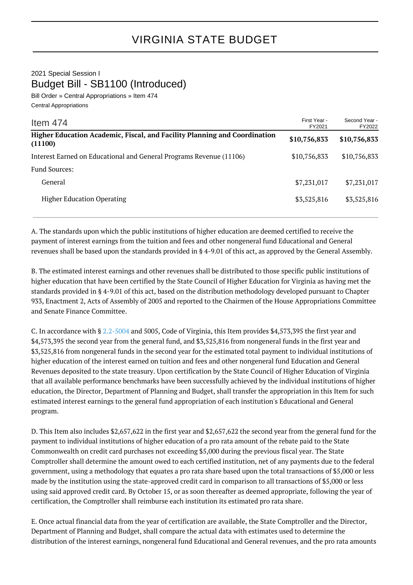2021 Special Session I Budget Bill - SB1100 (Introduced)

Bill Order » Central Appropriations » Item 474 Central Appropriations

| Item $474$                                                                           | First Year -<br>FY2021 | Second Year -<br>FY2022 |
|--------------------------------------------------------------------------------------|------------------------|-------------------------|
| Higher Education Academic, Fiscal, and Facility Planning and Coordination<br>(11100) | \$10,756,833           | \$10,756,833            |
| Interest Earned on Educational and General Programs Revenue (11106)                  | \$10,756,833           | \$10,756,833            |
| <b>Fund Sources:</b>                                                                 |                        |                         |
| General                                                                              | \$7,231,017            | \$7,231,017             |
| <b>Higher Education Operating</b>                                                    | \$3,525,816            | \$3,525,816             |

A. The standards upon which the public institutions of higher education are deemed certified to receive the payment of interest earnings from the tuition and fees and other nongeneral fund Educational and General revenues shall be based upon the standards provided in § 4-9.01 of this act, as approved by the General Assembly.

B. The estimated interest earnings and other revenues shall be distributed to those specific public institutions of higher education that have been certified by the State Council of Higher Education for Virginia as having met the standards provided in § 4-9.01 of this act, based on the distribution methodology developed pursuant to Chapter 933, Enactment 2, Acts of Assembly of 2005 and reported to the Chairmen of the House Appropriations Committee and Senate Finance Committee.

C. In accordance with § [2.2-5004](http://law.lis.virginia.gov/vacode/2.2-5004/) and 5005, Code of Virginia, this Item provides \$4,573,395 the first year and \$4,573,395 the second year from the general fund, and \$3,525,816 from nongeneral funds in the first year and \$3,525,816 from nongeneral funds in the second year for the estimated total payment to individual institutions of higher education of the interest earned on tuition and fees and other nongeneral fund Education and General Revenues deposited to the state treasury. Upon certification by the State Council of Higher Education of Virginia that all available performance benchmarks have been successfully achieved by the individual institutions of higher education, the Director, Department of Planning and Budget, shall transfer the appropriation in this Item for such estimated interest earnings to the general fund appropriation of each institution's Educational and General program.

D. This Item also includes \$2,657,622 in the first year and \$2,657,622 the second year from the general fund for the payment to individual institutions of higher education of a pro rata amount of the rebate paid to the State Commonwealth on credit card purchases not exceeding \$5,000 during the previous fiscal year. The State Comptroller shall determine the amount owed to each certified institution, net of any payments due to the federal government, using a methodology that equates a pro rata share based upon the total transactions of \$5,000 or less made by the institution using the state-approved credit card in comparison to all transactions of \$5,000 or less using said approved credit card. By October 15, or as soon thereafter as deemed appropriate, following the year of certification, the Comptroller shall reimburse each institution its estimated pro rata share.

E. Once actual financial data from the year of certification are available, the State Comptroller and the Director, Department of Planning and Budget, shall compare the actual data with estimates used to determine the distribution of the interest earnings, nongeneral fund Educational and General revenues, and the pro rata amounts